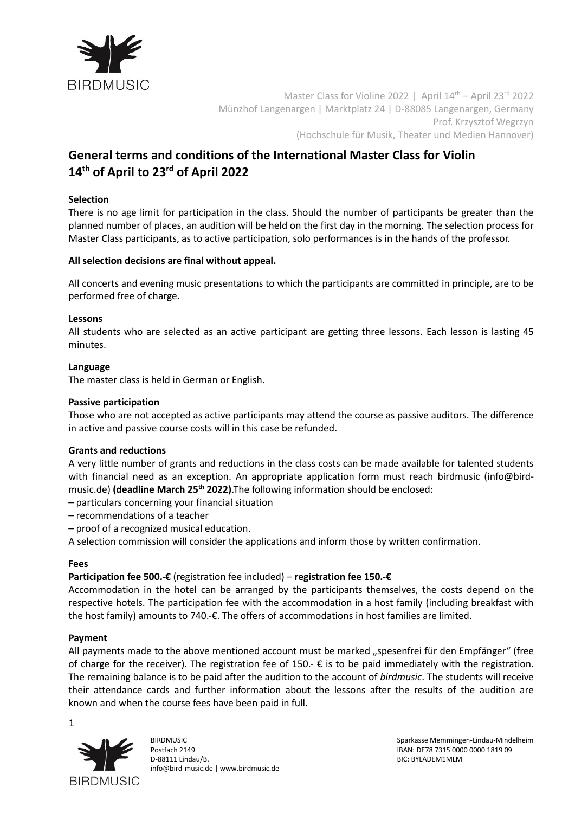

Master Class for Violine 2022 | April 14<sup>th</sup> - April 23<sup>rd</sup> 2022 Münzhof Langenargen | Marktplatz 24 | D-88085 Langenargen, Germany Prof. Krzysztof Wegrzyn (Hochschule für Musik, Theater und Medien Hannover)

# **General terms and conditions of the International Master Class for Violin 14th of April to 23rd of April 2022**

# **Selection**

There is no age limit for participation in the class. Should the number of participants be greater than the planned number of places, an audition will be held on the first day in the morning. The selection process for Master Class participants, as to active participation, solo performances is in the hands of the professor.

### **All selection decisions are final without appeal.**

All concerts and evening music presentations to which the participants are committed in principle, are to be performed free of charge.

### **Lessons**

All students who are selected as an active participant are getting three lessons. Each lesson is lasting 45 minutes.

### **Language**

The master class is held in German or English.

### **Passive participation**

Those who are not accepted as active participants may attend the course as passive auditors. The difference in active and passive course costs will in this case be refunded.

### **Grants and reductions**

A very little number of grants and reductions in the class costs can be made available for talented students with financial need as an exception. An appropriate application form must reach birdmusic [\(info@bird](mailto:info@bird-music.de)[music.de\)](mailto:info@bird-music.de) **(deadline March 25th 2022)**.The following information should be enclosed:

- particulars concerning your financial situation
- recommendations of a teacher
- proof of a recognized musical education.

A selection commission will consider the applications and inform those by written confirmation.

### **Fees**

### **Participation fee 500.-€** (registration fee included) – **registration fee 150.-€**

Accommodation in the hotel can be arranged by the participants themselves, the costs depend on the respective hotels. The participation fee with the accommodation in a host family (including breakfast with the host family) amounts to 740.-€. The offers of accommodations in host families are limited.

### **Payment**

All payments made to the above mentioned account must be marked "spesenfrei für den Empfänger" (free of charge for the receiver). The registration fee of 150.-  $\epsilon$  is to be paid immediately with the registration. The remaining balance is to be paid after the audition to the account of *birdmusic*. The students will receive their attendance cards and further information about the lessons after the results of the audition are known and when the course fees have been paid in full.

1



Postfach 2149 IBAN: DE78 7315 0000 0000 1819 09 D-88111 Lindau/B. BIC: BYLADEM1MLM [info@bird-music.de](mailto:info@bird-music.de) | [www.birdmusic.de](http://www.birdmusic.de/)

BIRDMUSIC Sparkasse Memmingen-Lindau-Mindelheim